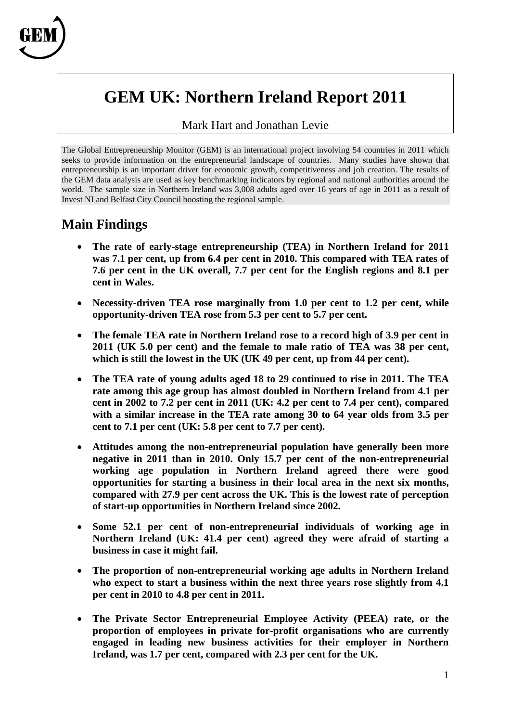

# **GEM UK: Northern Ireland Report 2011**

#### Mark Hart and Jonathan Levie

The Global Entrepreneurship Monitor (GEM) is an international project involving 54 countries in 2011 which seeks to provide information on the entrepreneurial landscape of countries. Many studies have shown that entrepreneurship is an important driver for economic growth, competitiveness and job creation. The results of the GEM data analysis are used as key benchmarking indicators by regional and national authorities around the world. The sample size in Northern Ireland was 3,008 adults aged over 16 years of age in 2011 as a result of Invest NI and Belfast City Council boosting the regional sample.

#### **Main Findings**

- **The rate of early-stage entrepreneurship (TEA) in Northern Ireland for 2011 was 7.1 per cent, up from 6.4 per cent in 2010. This compared with TEA rates of 7.6 per cent in the UK overall, 7.7 per cent for the English regions and 8.1 per cent in Wales.**
- **Necessity-driven TEA rose marginally from 1.0 per cent to 1.2 per cent, while opportunity-driven TEA rose from 5.3 per cent to 5.7 per cent.**
- **The female TEA rate in Northern Ireland rose to a record high of 3.9 per cent in 2011 (UK 5.0 per cent) and the female to male ratio of TEA was 38 per cent, which is still the lowest in the UK (UK 49 per cent, up from 44 per cent).**
- **The TEA rate of young adults aged 18 to 29 continued to rise in 2011. The TEA rate among this age group has almost doubled in Northern Ireland from 4.1 per cent in 2002 to 7.2 per cent in 2011 (UK: 4.2 per cent to 7.4 per cent), compared with a similar increase in the TEA rate among 30 to 64 year olds from 3.5 per cent to 7.1 per cent (UK: 5.8 per cent to 7.7 per cent).**
- **Attitudes among the non-entrepreneurial population have generally been more negative in 2011 than in 2010. Only 15.7 per cent of the non-entrepreneurial working age population in Northern Ireland agreed there were good opportunities for starting a business in their local area in the next six months, compared with 27.9 per cent across the UK. This is the lowest rate of perception of start-up opportunities in Northern Ireland since 2002.**
- **Some 52.1 per cent of non-entrepreneurial individuals of working age in Northern Ireland (UK: 41.4 per cent) agreed they were afraid of starting a business in case it might fail.**
- **The proportion of non-entrepreneurial working age adults in Northern Ireland who expect to start a business within the next three years rose slightly from 4.1 per cent in 2010 to 4.8 per cent in 2011.**
- **The Private Sector Entrepreneurial Employee Activity (PEEA) rate, or the proportion of employees in private for-profit organisations who are currently engaged in leading new business activities for their employer in Northern Ireland, was 1.7 per cent, compared with 2.3 per cent for the UK.**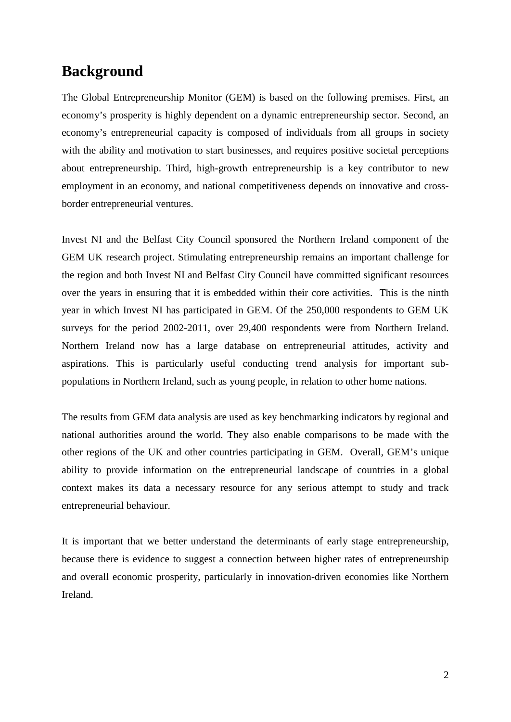### **Background**

The Global Entrepreneurship Monitor (GEM) is based on the following premises. First, an economy's prosperity is highly dependent on a dynamic entrepreneurship sector. Second, an economy's entrepreneurial capacity is composed of individuals from all groups in society with the ability and motivation to start businesses, and requires positive societal perceptions about entrepreneurship. Third, high-growth entrepreneurship is a key contributor to new employment in an economy, and national competitiveness depends on innovative and crossborder entrepreneurial ventures.

Invest NI and the Belfast City Council sponsored the Northern Ireland component of the GEM UK research project. Stimulating entrepreneurship remains an important challenge for the region and both Invest NI and Belfast City Council have committed significant resources over the years in ensuring that it is embedded within their core activities. This is the ninth year in which Invest NI has participated in GEM. Of the 250,000 respondents to GEM UK surveys for the period 2002-2011, over 29,400 respondents were from Northern Ireland. Northern Ireland now has a large database on entrepreneurial attitudes, activity and aspirations. This is particularly useful conducting trend analysis for important subpopulations in Northern Ireland, such as young people, in relation to other home nations.

The results from GEM data analysis are used as key benchmarking indicators by regional and national authorities around the world. They also enable comparisons to be made with the other regions of the UK and other countries participating in GEM. Overall, GEM's unique ability to provide information on the entrepreneurial landscape of countries in a global context makes its data a necessary resource for any serious attempt to study and track entrepreneurial behaviour.

It is important that we better understand the determinants of early stage entrepreneurship, because there is evidence to suggest a connection between higher rates of entrepreneurship and overall economic prosperity, particularly in innovation-driven economies like Northern Ireland.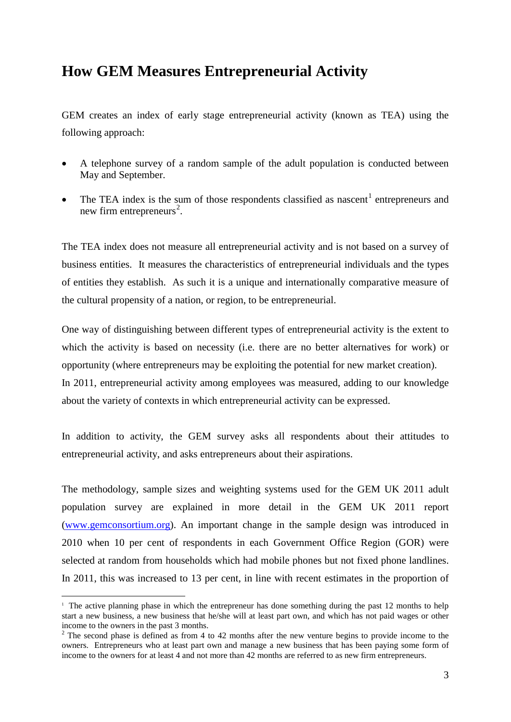### **How GEM Measures Entrepreneurial Activity**

GEM creates an index of early stage entrepreneurial activity (known as TEA) using the following approach:

- A telephone survey of a random sample of the adult population is conducted between May and September.
- The TEA index is the sum of those respondents classified as nascent<sup>[1](#page-2-0)</sup> entrepreneurs and new firm entrepreneurs<sup>[2](#page-2-1)</sup>.

The TEA index does not measure all entrepreneurial activity and is not based on a survey of business entities. It measures the characteristics of entrepreneurial individuals and the types of entities they establish. As such it is a unique and internationally comparative measure of the cultural propensity of a nation, or region, to be entrepreneurial.

One way of distinguishing between different types of entrepreneurial activity is the extent to which the activity is based on necessity (i.e. there are no better alternatives for work) or opportunity (where entrepreneurs may be exploiting the potential for new market creation). In 2011, entrepreneurial activity among employees was measured, adding to our knowledge about the variety of contexts in which entrepreneurial activity can be expressed.

In addition to activity, the GEM survey asks all respondents about their attitudes to entrepreneurial activity, and asks entrepreneurs about their aspirations.

The methodology, sample sizes and weighting systems used for the GEM UK 2011 adult population survey are explained in more detail in the GEM UK 2011 report [\(www.gemconsortium.org\)](http://www.gemconsortium.org/). An important change in the sample design was introduced in 2010 when 10 per cent of respondents in each Government Office Region (GOR) were selected at random from households which had mobile phones but not fixed phone landlines. In 2011, this was increased to 13 per cent, in line with recent estimates in the proportion of

<span id="page-2-0"></span><sup>&</sup>lt;sup>1</sup> The active planning phase in which the entrepreneur has done something during the past 12 months to help start a new business, a new business that he/she will at least part own, and which has not paid wages or other income to the owners in the past 3 months.<br><sup>2</sup> The second phase is defined as from 4 to 42 months after the new venture begins to provide income to the

<span id="page-2-1"></span>owners. Entrepreneurs who at least part own and manage a new business that has been paying some form of income to the owners for at least 4 and not more than 42 months are referred to as new firm entrepreneurs.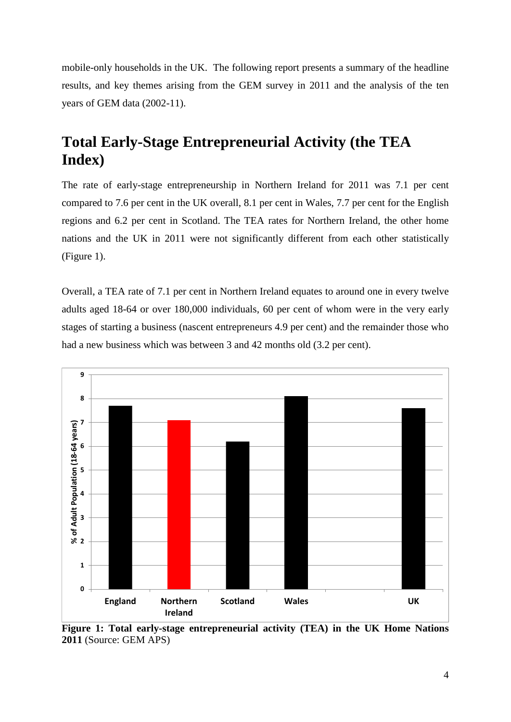mobile-only households in the UK. The following report presents a summary of the headline results, and key themes arising from the GEM survey in 2011 and the analysis of the ten years of GEM data (2002-11).

## **Total Early-Stage Entrepreneurial Activity (the TEA Index)**

The rate of early-stage entrepreneurship in Northern Ireland for 2011 was 7.1 per cent compared to 7.6 per cent in the UK overall, 8.1 per cent in Wales, 7.7 per cent for the English regions and 6.2 per cent in Scotland. The TEA rates for Northern Ireland, the other home nations and the UK in 2011 were not significantly different from each other statistically (Figure 1).

Overall, a TEA rate of 7.1 per cent in Northern Ireland equates to around one in every twelve adults aged 18-64 or over 180,000 individuals, 60 per cent of whom were in the very early stages of starting a business (nascent entrepreneurs 4.9 per cent) and the remainder those who had a new business which was between 3 and 42 months old (3.2 per cent).



**Figure 1: Total early-stage entrepreneurial activity (TEA) in the UK Home Nations 2011** (Source: GEM APS)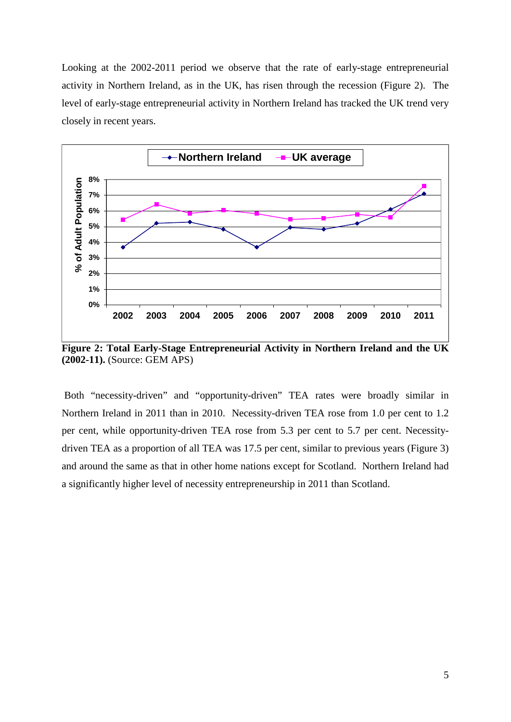Looking at the 2002-2011 period we observe that the rate of early-stage entrepreneurial activity in Northern Ireland, as in the UK, has risen through the recession (Figure 2). The level of early-stage entrepreneurial activity in Northern Ireland has tracked the UK trend very closely in recent years.



**Figure 2: Total Early-Stage Entrepreneurial Activity in Northern Ireland and the UK (2002-11).** (Source: GEM APS)

Both "necessity-driven" and "opportunity-driven" TEA rates were broadly similar in Northern Ireland in 2011 than in 2010. Necessity-driven TEA rose from 1.0 per cent to 1.2 per cent, while opportunity-driven TEA rose from 5.3 per cent to 5.7 per cent. Necessitydriven TEA as a proportion of all TEA was 17.5 per cent, similar to previous years (Figure 3) and around the same as that in other home nations except for Scotland. Northern Ireland had a significantly higher level of necessity entrepreneurship in 2011 than Scotland.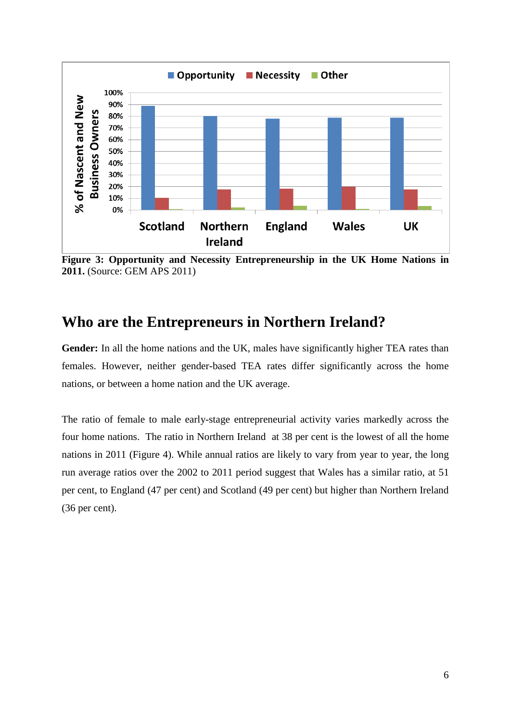

**Figure 3: Opportunity and Necessity Entrepreneurship in the UK Home Nations in 2011.** (Source: GEM APS 2011)

### **Who are the Entrepreneurs in Northern Ireland?**

**Gender:** In all the home nations and the UK, males have significantly higher TEA rates than females. However, neither gender-based TEA rates differ significantly across the home nations, or between a home nation and the UK average.

The ratio of female to male early-stage entrepreneurial activity varies markedly across the four home nations. The ratio in Northern Ireland at 38 per cent is the lowest of all the home nations in 2011 (Figure 4). While annual ratios are likely to vary from year to year, the long run average ratios over the 2002 to 2011 period suggest that Wales has a similar ratio, at 51 per cent, to England (47 per cent) and Scotland (49 per cent) but higher than Northern Ireland (36 per cent).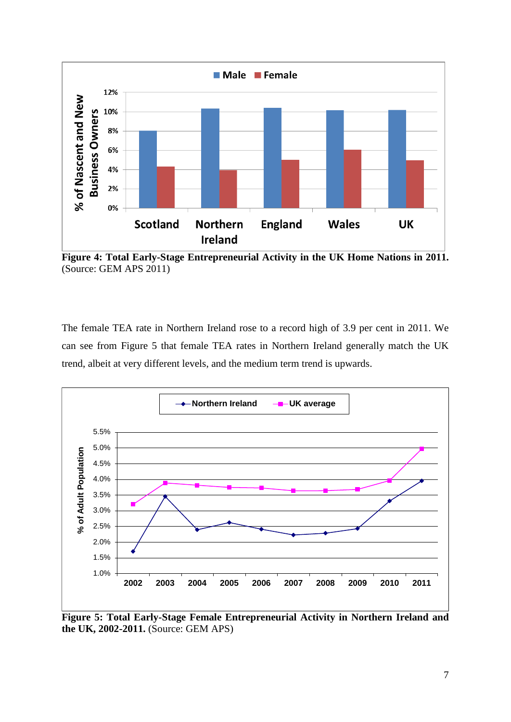

**Figure 4: Total Early-Stage Entrepreneurial Activity in the UK Home Nations in 2011.**  (Source: GEM APS 2011)

The female TEA rate in Northern Ireland rose to a record high of 3.9 per cent in 2011. We can see from Figure 5 that female TEA rates in Northern Ireland generally match the UK trend, albeit at very different levels, and the medium term trend is upwards.



**Figure 5: Total Early-Stage Female Entrepreneurial Activity in Northern Ireland and the UK, 2002-2011.** (Source: GEM APS)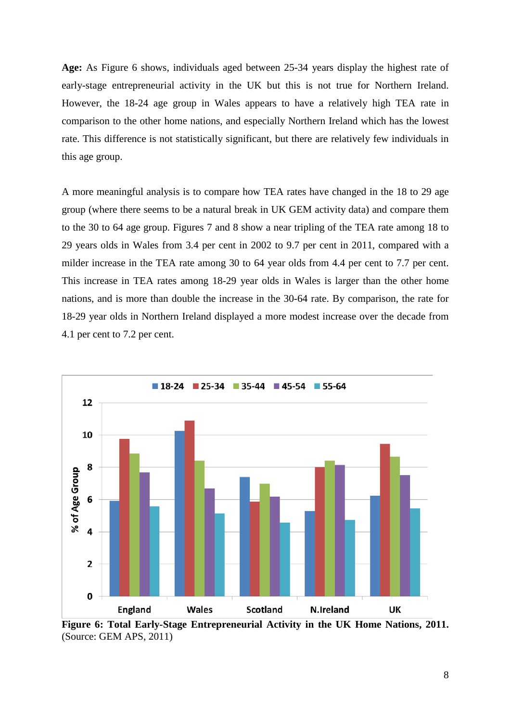**Age:** As Figure 6 shows, individuals aged between 25-34 years display the highest rate of early-stage entrepreneurial activity in the UK but this is not true for Northern Ireland. However, the 18-24 age group in Wales appears to have a relatively high TEA rate in comparison to the other home nations, and especially Northern Ireland which has the lowest rate. This difference is not statistically significant, but there are relatively few individuals in this age group.

A more meaningful analysis is to compare how TEA rates have changed in the 18 to 29 age group (where there seems to be a natural break in UK GEM activity data) and compare them to the 30 to 64 age group. Figures 7 and 8 show a near tripling of the TEA rate among 18 to 29 years olds in Wales from 3.4 per cent in 2002 to 9.7 per cent in 2011, compared with a milder increase in the TEA rate among 30 to 64 year olds from 4.4 per cent to 7.7 per cent. This increase in TEA rates among 18-29 year olds in Wales is larger than the other home nations, and is more than double the increase in the 30-64 rate. By comparison, the rate for 18-29 year olds in Northern Ireland displayed a more modest increase over the decade from 4.1 per cent to 7.2 per cent.



**Figure 6: Total Early-Stage Entrepreneurial Activity in the UK Home Nations, 2011.**  (Source: GEM APS, 2011)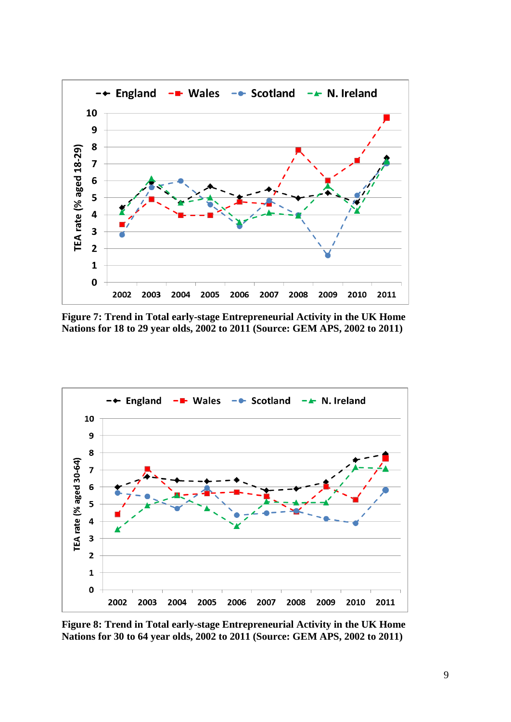

**Figure 7: Trend in Total early-stage Entrepreneurial Activity in the UK Home Nations for 18 to 29 year olds, 2002 to 2011 (Source: GEM APS, 2002 to 2011)**



**Figure 8: Trend in Total early-stage Entrepreneurial Activity in the UK Home Nations for 30 to 64 year olds, 2002 to 2011 (Source: GEM APS, 2002 to 2011)**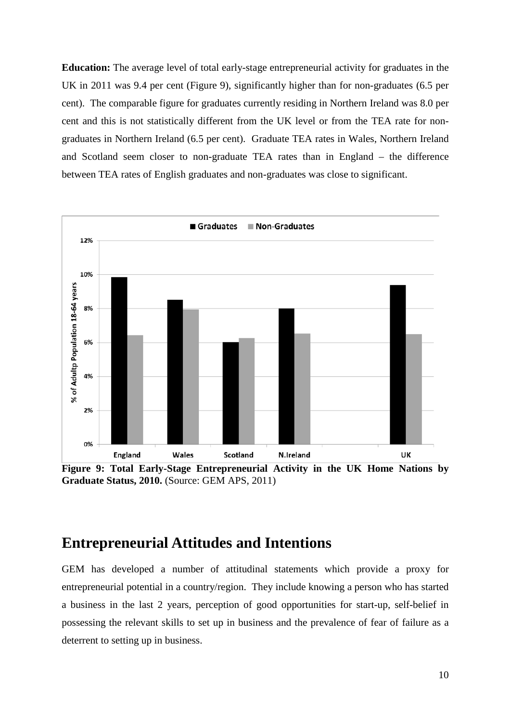**Education:** The average level of total early-stage entrepreneurial activity for graduates in the UK in 2011 was 9.4 per cent (Figure 9), significantly higher than for non-graduates (6.5 per cent). The comparable figure for graduates currently residing in Northern Ireland was 8.0 per cent and this is not statistically different from the UK level or from the TEA rate for nongraduates in Northern Ireland (6.5 per cent). Graduate TEA rates in Wales, Northern Ireland and Scotland seem closer to non-graduate TEA rates than in England – the difference between TEA rates of English graduates and non-graduates was close to significant.



**Figure 9: Total Early-Stage Entrepreneurial Activity in the UK Home Nations by Graduate Status, 2010.** (Source: GEM APS, 2011)

#### **Entrepreneurial Attitudes and Intentions**

GEM has developed a number of attitudinal statements which provide a proxy for entrepreneurial potential in a country/region. They include knowing a person who has started a business in the last 2 years, perception of good opportunities for start-up, self-belief in possessing the relevant skills to set up in business and the prevalence of fear of failure as a deterrent to setting up in business.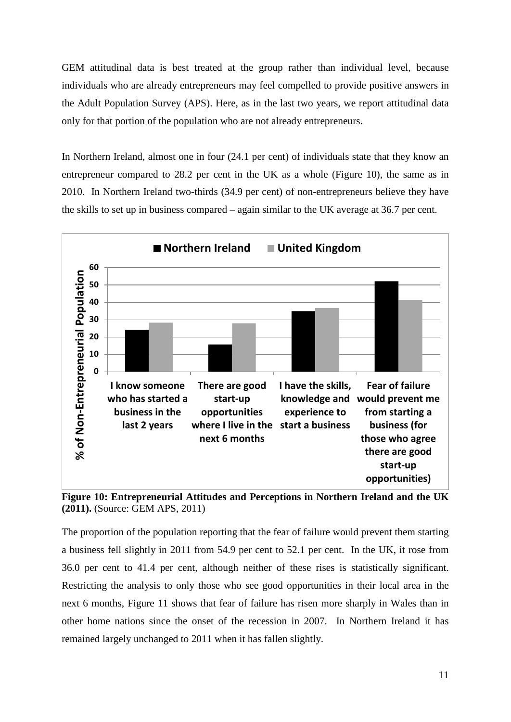GEM attitudinal data is best treated at the group rather than individual level, because individuals who are already entrepreneurs may feel compelled to provide positive answers in the Adult Population Survey (APS). Here, as in the last two years, we report attitudinal data only for that portion of the population who are not already entrepreneurs.

In Northern Ireland, almost one in four (24.1 per cent) of individuals state that they know an entrepreneur compared to 28.2 per cent in the UK as a whole (Figure 10), the same as in 2010. In Northern Ireland two-thirds (34.9 per cent) of non-entrepreneurs believe they have the skills to set up in business compared – again similar to the UK average at 36.7 per cent.



**Figure 10: Entrepreneurial Attitudes and Perceptions in Northern Ireland and the UK (2011).** (Source: GEM APS, 2011)

The proportion of the population reporting that the fear of failure would prevent them starting a business fell slightly in 2011 from 54.9 per cent to 52.1 per cent. In the UK, it rose from 36.0 per cent to 41.4 per cent, although neither of these rises is statistically significant. Restricting the analysis to only those who see good opportunities in their local area in the next 6 months, Figure 11 shows that fear of failure has risen more sharply in Wales than in other home nations since the onset of the recession in 2007. In Northern Ireland it has remained largely unchanged to 2011 when it has fallen slightly.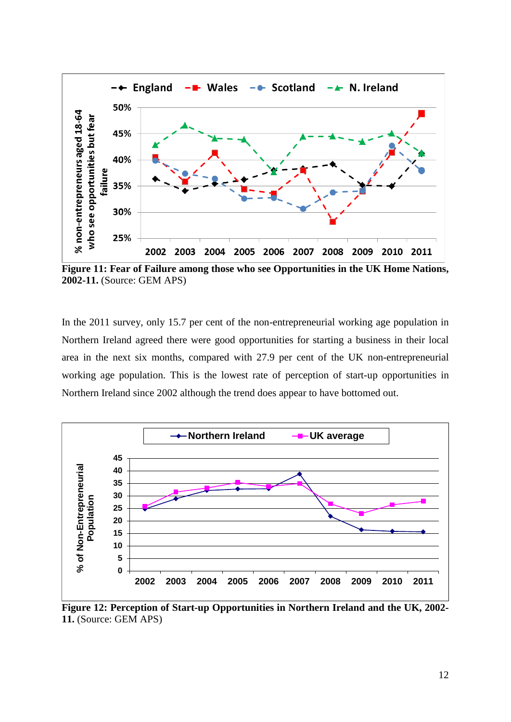

**Figure 11: Fear of Failure among those who see Opportunities in the UK Home Nations, 2002-11.** (Source: GEM APS)

In the 2011 survey, only 15.7 per cent of the non-entrepreneurial working age population in Northern Ireland agreed there were good opportunities for starting a business in their local area in the next six months, compared with 27.9 per cent of the UK non-entrepreneurial working age population. This is the lowest rate of perception of start-up opportunities in Northern Ireland since 2002 although the trend does appear to have bottomed out.



**Figure 12: Perception of Start-up Opportunities in Northern Ireland and the UK, 2002- 11.** (Source: GEM APS)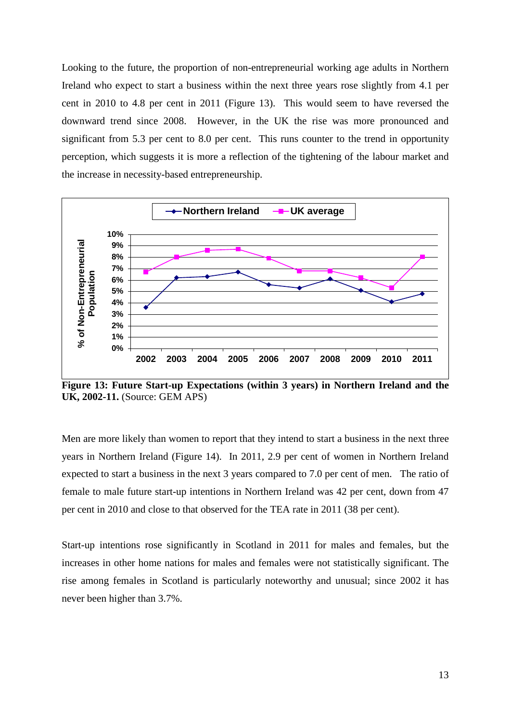Looking to the future, the proportion of non-entrepreneurial working age adults in Northern Ireland who expect to start a business within the next three years rose slightly from 4.1 per cent in 2010 to 4.8 per cent in 2011 (Figure 13). This would seem to have reversed the downward trend since 2008. However, in the UK the rise was more pronounced and significant from 5.3 per cent to 8.0 per cent. This runs counter to the trend in opportunity perception, which suggests it is more a reflection of the tightening of the labour market and the increase in necessity-based entrepreneurship.



**Figure 13: Future Start-up Expectations (within 3 years) in Northern Ireland and the UK, 2002-11.** (Source: GEM APS)

Men are more likely than women to report that they intend to start a business in the next three years in Northern Ireland (Figure 14). In 2011, 2.9 per cent of women in Northern Ireland expected to start a business in the next 3 years compared to 7.0 per cent of men. The ratio of female to male future start-up intentions in Northern Ireland was 42 per cent, down from 47 per cent in 2010 and close to that observed for the TEA rate in 2011 (38 per cent).

Start-up intentions rose significantly in Scotland in 2011 for males and females, but the increases in other home nations for males and females were not statistically significant. The rise among females in Scotland is particularly noteworthy and unusual; since 2002 it has never been higher than 3.7%.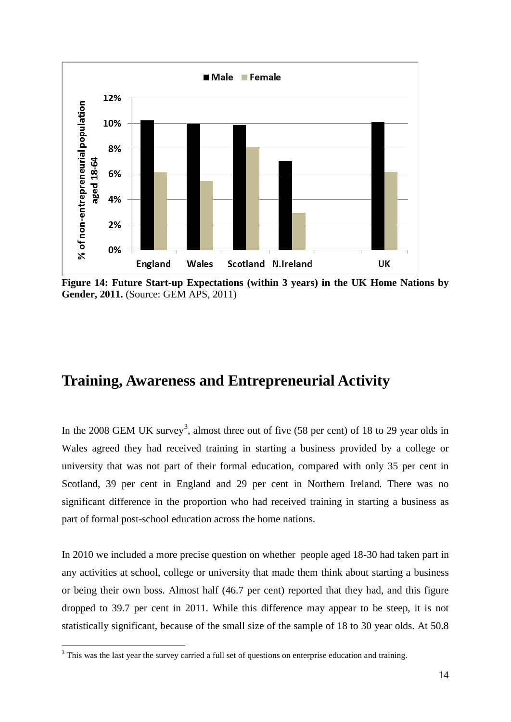

**Figure 14: Future Start-up Expectations (within 3 years) in the UK Home Nations by Gender, 2011.** (Source: GEM APS, 2011)

### **Training, Awareness and Entrepreneurial Activity**

In the 2008 GEM UK survey<sup>[3](#page-13-0)</sup>, almost three out of five  $(58 \text{ per cent})$  of 18 to 29 year olds in Wales agreed they had received training in starting a business provided by a college or university that was not part of their formal education, compared with only 35 per cent in Scotland, 39 per cent in England and 29 per cent in Northern Ireland. There was no significant difference in the proportion who had received training in starting a business as part of formal post-school education across the home nations.

In 2010 we included a more precise question on whether people aged 18-30 had taken part in any activities at school, college or university that made them think about starting a business or being their own boss. Almost half (46.7 per cent) reported that they had, and this figure dropped to 39.7 per cent in 2011. While this difference may appear to be steep, it is not statistically significant, because of the small size of the sample of 18 to 30 year olds. At 50.8

<span id="page-13-0"></span><sup>&</sup>lt;sup>3</sup> This was the last year the survey carried a full set of questions on enterprise education and training.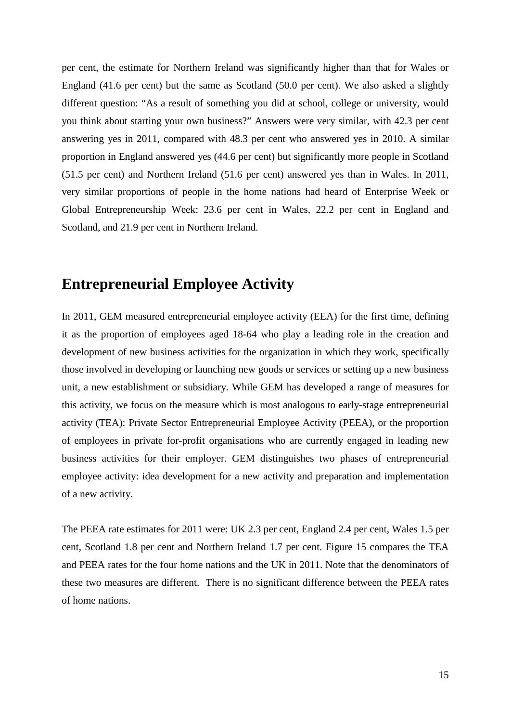per cent, the estimate for Northern Ireland was significantly higher than that for Wales or England (41.6 per cent) but the same as Scotland (50.0 per cent). We also asked a slightly different question: "As a result of something you did at school, college or university, would you think about starting your own business?" Answers were very similar, with 42.3 per cent answering yes in 2011, compared with 48.3 per cent who answered yes in 2010. A similar proportion in England answered yes (44.6 per cent) but significantly more people in Scotland (51.5 per cent) and Northern Ireland (51.6 per cent) answered yes than in Wales. In 2011, very similar proportions of people in the home nations had heard of Enterprise Week or Global Entrepreneurship Week: 23.6 per cent in Wales, 22.2 per cent in England and Scotland, and 21.9 per cent in Northern Ireland.

#### **Entrepreneurial Employee Activity**

In 2011, GEM measured entrepreneurial employee activity (EEA) for the first time, defining it as the proportion of employees aged 18-64 who play a leading role in the creation and development of new business activities for the organization in which they work, specifically those involved in developing or launching new goods or services or setting up a new business unit, a new establishment or subsidiary. While GEM has developed a range of measures for this activity, we focus on the measure which is most analogous to early-stage entrepreneurial activity (TEA): Private Sector Entrepreneurial Employee Activity (PEEA), or the proportion of employees in private for-profit organisations who are currently engaged in leading new business activities for their employer. GEM distinguishes two phases of entrepreneurial employee activity: idea development for a new activity and preparation and implementation of a new activity.

The PEEA rate estimates for 2011 were: UK 2.3 per cent, England 2.4 per cent, Wales 1.5 per cent, Scotland 1.8 per cent and Northern Ireland 1.7 per cent. Figure 15 compares the TEA and PEEA rates for the four home nations and the UK in 2011. Note that the denominators of these two measures are different. There is no significant difference between the PEEA rates of home nations.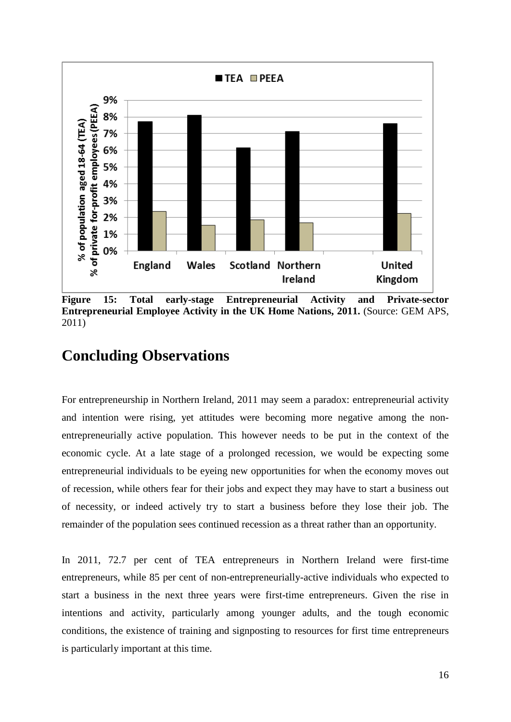

**Figure 15: Total early-stage Entrepreneurial Activity and Private-sector Entrepreneurial Employee Activity in the UK Home Nations, 2011.** (Source: GEM APS, 2011)

### **Concluding Observations**

For entrepreneurship in Northern Ireland, 2011 may seem a paradox: entrepreneurial activity and intention were rising, yet attitudes were becoming more negative among the nonentrepreneurially active population. This however needs to be put in the context of the economic cycle. At a late stage of a prolonged recession, we would be expecting some entrepreneurial individuals to be eyeing new opportunities for when the economy moves out of recession, while others fear for their jobs and expect they may have to start a business out of necessity, or indeed actively try to start a business before they lose their job. The remainder of the population sees continued recession as a threat rather than an opportunity.

In 2011, 72.7 per cent of TEA entrepreneurs in Northern Ireland were first-time entrepreneurs, while 85 per cent of non-entrepreneurially-active individuals who expected to start a business in the next three years were first-time entrepreneurs. Given the rise in intentions and activity, particularly among younger adults, and the tough economic conditions, the existence of training and signposting to resources for first time entrepreneurs is particularly important at this time.